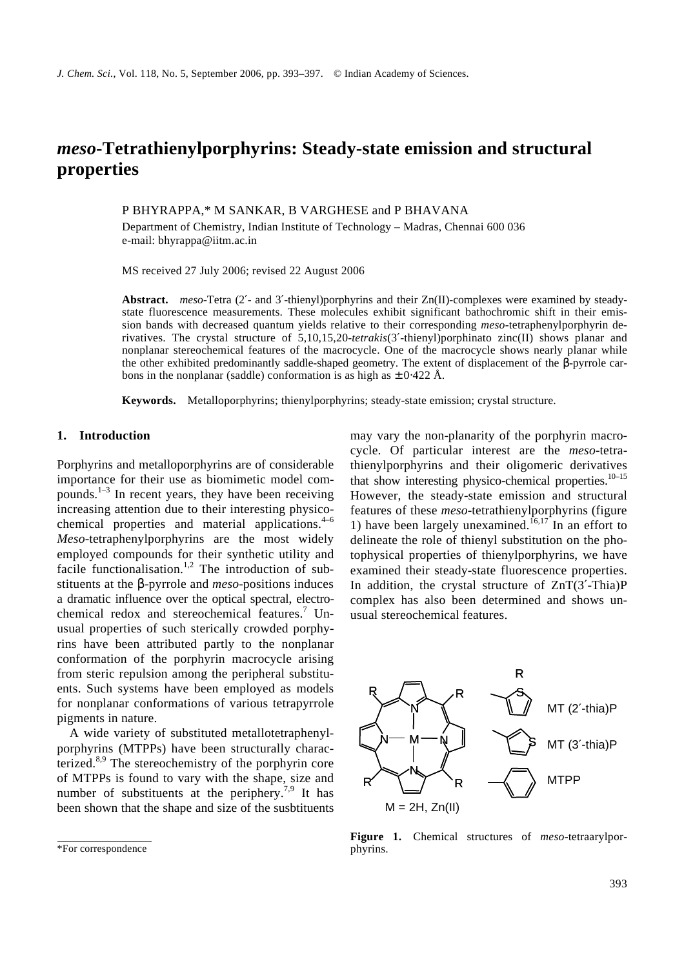# *meso***-Tetrathienylporphyrins: Steady-state emission and structural properties**

P BHYRAPPA,\* M SANKAR, B VARGHESE and P BHAVANA

Department of Chemistry, Indian Institute of Technology – Madras, Chennai 600 036 e-mail: bhyrappa@iitm.ac.in

MS received 27 July 2006; revised 22 August 2006

**Abstract.** *meso*-Tetra (2′- and 3′-thienyl)porphyrins and their Zn(II)-complexes were examined by steadystate fluorescence measurements. These molecules exhibit significant bathochromic shift in their emission bands with decreased quantum yields relative to their corresponding *meso*-tetraphenylporphyrin derivatives. The crystal structure of 5,10,15,20-*tetrakis*(3′-thienyl)porphinato zinc(II) shows planar and nonplanar stereochemical features of the macrocycle. One of the macrocycle shows nearly planar while the other exhibited predominantly saddle-shaped geometry. The extent of displacement of the *b*-pyrrole carbons in the nonplanar (saddle) conformation is as high as  $\pm$  0⋅422 Å.

**Keywords.** Metalloporphyrins; thienylporphyrins; steady-state emission; crystal structure.

## **1. Introduction**

Porphyrins and metalloporphyrins are of considerable importance for their use as biomimetic model compounds. $^{1-3}$  In recent years, they have been receiving increasing attention due to their interesting physicochemical properties and material applications.<sup>4-6</sup> *Meso*-tetraphenylporphyrins are the most widely employed compounds for their synthetic utility and facile functionalisation.<sup>1,2</sup> The introduction of substituents at the *b*-pyrrole and *meso*-positions induces a dramatic influence over the optical spectral, electrochemical redox and stereochemical features.<sup>7</sup> Unusual properties of such sterically crowded porphyrins have been attributed partly to the nonplanar conformation of the porphyrin macrocycle arising from steric repulsion among the peripheral substituents. Such systems have been employed as models for nonplanar conformations of various tetrapyrrole pigments in nature.

A wide variety of substituted metallotetraphenylporphyrins (MTPPs) have been structurally characterized.<sup>8,9</sup> The stereochemistry of the porphyrin core of MTPPs is found to vary with the shape, size and number of substituents at the periphery.<sup>7,9</sup> It has been shown that the shape and size of the susbtituents may vary the non-planarity of the porphyrin macrocycle. Of particular interest are the *meso*-tetrathienylporphyrins and their oligomeric derivatives that show interesting physico-chemical properties. $10-15$ However, the steady-state emission and structural features of these *meso*-tetrathienylporphyrins (figure 1) have been largely unexamined.<sup> $16,17$ </sup> In an effort to delineate the role of thienyl substitution on the photophysical properties of thienylporphyrins, we have examined their steady-state fluorescence properties. In addition, the crystal structure of  $ZnT(3'-Thia)P$ complex has also been determined and shows unusual stereochemical features.



**Figure 1.** Chemical structures of *meso*-tetraarylporphyrins.

<sup>\*</sup>For correspondence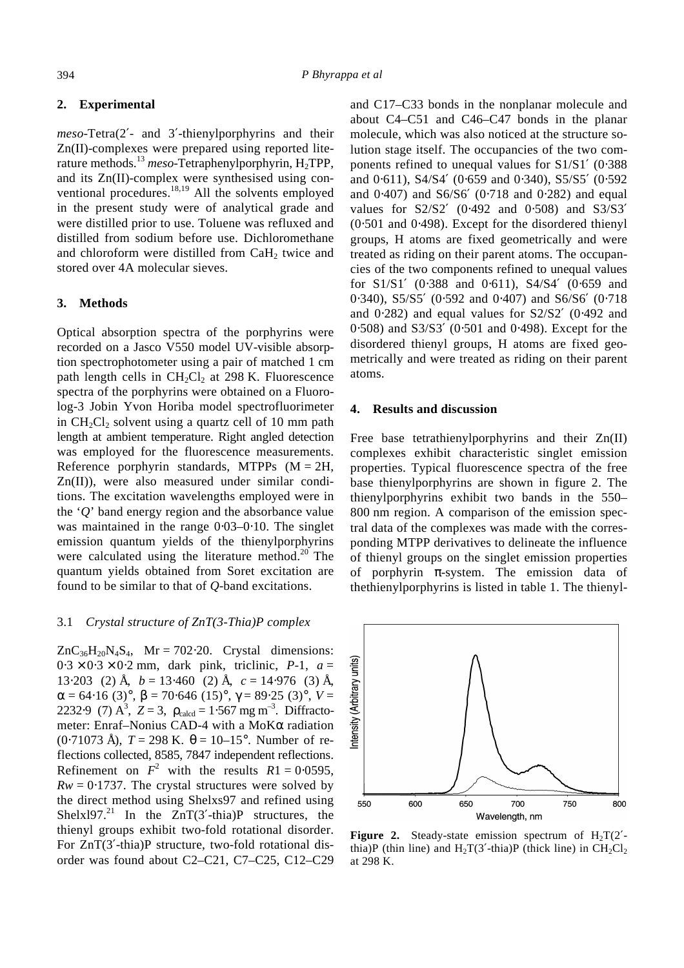#### **2. Experimental**

*meso*-Tetra(2′- and 3′-thienylporphyrins and their Zn(II)-complexes were prepared using reported literature methods.<sup>13</sup> meso-Tetraphenylporphyrin, H<sub>2</sub>TPP, and its Zn(II)-complex were synthesised using conventional procedures.<sup>18,19</sup> All the solvents employed in the present study were of analytical grade and were distilled prior to use. Toluene was refluxed and distilled from sodium before use. Dichloromethane and chloroform were distilled from  $CaH<sub>2</sub>$  twice and stored over 4A molecular sieves.

#### **3. Methods**

Optical absorption spectra of the porphyrins were recorded on a Jasco V550 model UV-visible absorption spectrophotometer using a pair of matched 1 cm path length cells in  $CH_2Cl_2$  at 298 K. Fluorescence spectra of the porphyrins were obtained on a Fluorolog-3 Jobin Yvon Horiba model spectrofluorimeter in  $CH_2Cl_2$  solvent using a quartz cell of 10 mm path length at ambient temperature. Right angled detection was employed for the fluorescence measurements. Reference porphyrin standards, MTPPs  $(M = 2H$ , Zn(II)), were also measured under similar conditions. The excitation wavelengths employed were in the '*Q*' band energy region and the absorbance value was maintained in the range 0⋅03–0⋅10. The singlet emission quantum yields of the thienylporphyrins were calculated using the literature method. $^{20}$  The quantum yields obtained from Soret excitation are found to be similar to that of *Q*-band excitations.

#### 3.1 *Crystal structure of ZnT(3-Thia)P complex*

 $ZnC_{36}H_{20}N_4S_4$ , Mr = 702⋅20. Crystal dimensions:  $0.3 \times 0.3 \times 0.2$  mm, dark pink, triclinic, *P*-1,  $a =$ 13⋅203 (2) Å, *b* = 13⋅460 (2) Å, *c* = 14⋅976 (3) Å,  $a = 64.16$  (3)°,  $b = 70.646$  (15)°,  $g = 89.25$  (3)°,  $V =$ 2232⋅9 (7) A<sup>3</sup>, Z = 3,  $r_{\text{calcd}} = 1.567 \text{ mg m}^{-3}$ . Diffractometer: Enraf–Nonius CAD-4 with a MoK*a* radiation (0⋅71073 Å), *T* = 298 K. *q* = 10–15°. Number of reflections collected, 8585, 7847 independent reflections. Refinement on  $F^2$  with the results  $R1 = 0.0595$ ,  $Rw = 0.1737$ . The crystal structures were solved by the direct method using Shelxs97 and refined using Shelxl97.<sup>21</sup> In the ZnT(3'-thia)P structures, the thienyl groups exhibit two-fold rotational disorder. For ZnT(3′-thia)P structure, two-fold rotational disorder was found about C2–C21, C7–C25, C12–C29

and C17–C33 bonds in the nonplanar molecule and about C4–C51 and C46–C47 bonds in the planar molecule, which was also noticed at the structure solution stage itself. The occupancies of the two components refined to unequal values for S1/S1′ (0⋅388 and 0⋅611), S4/S4′ (0⋅659 and 0⋅340), S5/S5′ (0⋅592 and 0⋅407) and S6/S6′ (0⋅718 and 0⋅282) and equal values for S2/S2' (0⋅492 and 0⋅508) and S3/S3' (0⋅501 and 0⋅498). Except for the disordered thienyl groups, H atoms are fixed geometrically and were treated as riding on their parent atoms. The occupancies of the two components refined to unequal values for S1/S1' (0⋅388 and 0⋅611), S4/S4' (0⋅659 and 0⋅340), S5/S5′ (0⋅592 and 0⋅407) and S6/S6′ (0⋅718 and 0⋅282) and equal values for S2/S2′ (0⋅492 and 0⋅508) and S3/S3′ (0⋅501 and 0⋅498). Except for the disordered thienyl groups, H atoms are fixed geometrically and were treated as riding on their parent atoms.

#### **4. Results and discussion**

Free base tetrathienylporphyrins and their Zn(II) complexes exhibit characteristic singlet emission properties. Typical fluorescence spectra of the free base thienylporphyrins are shown in figure 2. The thienylporphyrins exhibit two bands in the 550– 800 nm region. A comparison of the emission spectral data of the complexes was made with the corresponding MTPP derivatives to delineate the influence of thienyl groups on the singlet emission properties of porphyrin *p*-system. The emission data of thethienylporphyrins is listed in table 1. The thienyl-



**Figure 2.** Steady-state emission spectrum of  $H_2T(2)$ thia)P (thin line) and  $H_2T(3'-thia)P$  (thick line) in  $CH_2Cl_2$ at 298 K.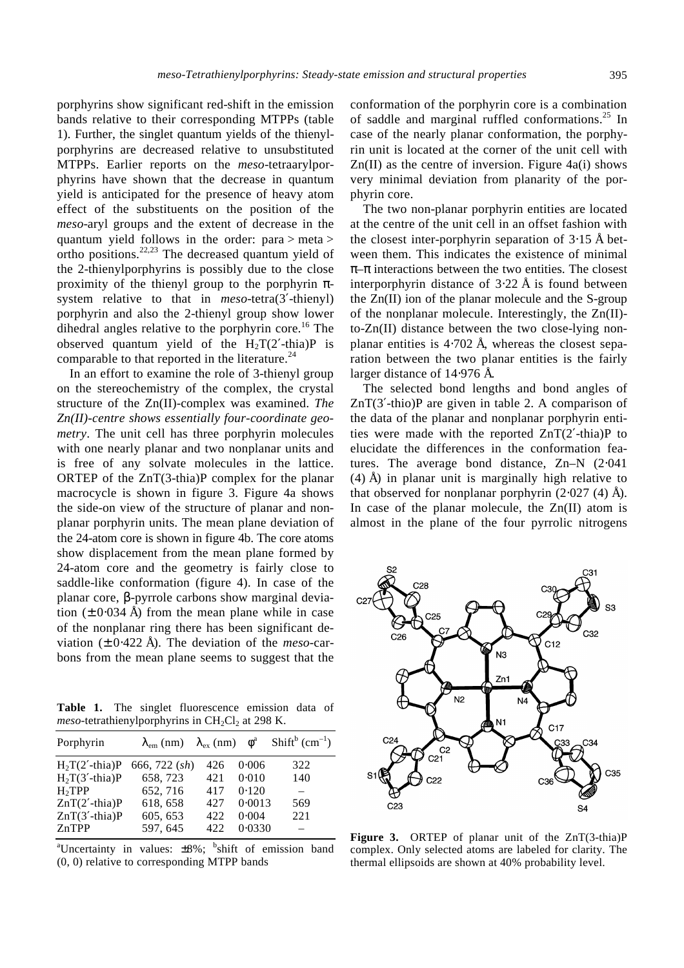porphyrins show significant red-shift in the emission bands relative to their corresponding MTPPs (table 1). Further, the singlet quantum yields of the thienylporphyrins are decreased relative to unsubstituted MTPPs. Earlier reports on the *meso*-tetraarylporphyrins have shown that the decrease in quantum yield is anticipated for the presence of heavy atom effect of the substituents on the position of the *meso*-aryl groups and the extent of decrease in the quantum yield follows in the order: para > meta > ortho positions. $22,23$  The decreased quantum yield of the 2-thienylporphyrins is possibly due to the close proximity of the thienyl group to the porphyrin *p*system relative to that in *meso*-tetra(3′-thienyl) porphyrin and also the 2-thienyl group show lower dihedral angles relative to the porphyrin core.<sup>16</sup> The observed quantum yield of the  $H_2T(2'-thia)P$  is comparable to that reported in the literature.<sup>24</sup>

In an effort to examine the role of 3-thienyl group on the stereochemistry of the complex, the crystal structure of the Zn(II)-complex was examined. *The Zn(II)-centre shows essentially four-coordinate geometry*. The unit cell has three porphyrin molecules with one nearly planar and two nonplanar units and is free of any solvate molecules in the lattice. ORTEP of the ZnT(3-thia)P complex for the planar macrocycle is shown in figure 3. Figure 4a shows the side-on view of the structure of planar and nonplanar porphyrin units. The mean plane deviation of the 24-atom core is shown in figure 4b. The core atoms show displacement from the mean plane formed by 24-atom core and the geometry is fairly close to saddle-like conformation (figure 4). In case of the planar core, *b*-pyrrole carbons show marginal deviation  $(\pm 0.034 \text{ Å})$  from the mean plane while in case of the nonplanar ring there has been significant deviation (± 0⋅422 Å). The deviation of the *meso*-carbons from the mean plane seems to suggest that the

**Table 1.** The singlet fluorescence emission data of  $meso$ -tetrathienylporphyrins in  $CH<sub>2</sub>Cl<sub>2</sub>$  at 298 K.

| Porphyrin          | $I_{\rm em}$ (nm) $I_{\rm ex}$ (nm) $f^{\rm a}$ |      |        | $Shiftb$ (cm <sup>-1</sup> ) |
|--------------------|-------------------------------------------------|------|--------|------------------------------|
| $H2T(2'-thia)P$    | 666, 722 (sh)                                   | 426  | 0.006  | 322                          |
| $H2T(3'-thia)P$    | 658, 723                                        | 421  | 0.010  | 140                          |
| H <sub>2</sub> TPP | 652, 716                                        | 417  | 0.120  |                              |
| $ZnT(2'-thia)P$    | 618, 658                                        | 42.7 | 0.0013 | 569                          |
| $ZnT(3'-thia)P$    | 605, 653                                        | 422  | 0.004  | 221                          |
| ZnTPP              | 597, 645                                        | 422  | 0.0330 |                              |

<sup>a</sup>Uncertainty in values:  $\pm 8\%$ ; <sup>b</sup>shift of emission band (0, 0) relative to corresponding MTPP bands

conformation of the porphyrin core is a combination of saddle and marginal ruffled conformations.<sup>25</sup> In case of the nearly planar conformation, the porphyrin unit is located at the corner of the unit cell with  $Zn(II)$  as the centre of inversion. Figure 4a(i) shows very minimal deviation from planarity of the porphyrin core.

The two non-planar porphyrin entities are located at the centre of the unit cell in an offset fashion with the closest inter-porphyrin separation of 3⋅15 Å between them. This indicates the existence of minimal *p–p* interactions between the two entities. The closest interporphyrin distance of  $3.22 \text{ Å}$  is found between the Zn(II) ion of the planar molecule and the S-group of the nonplanar molecule. Interestingly, the Zn(II) to-Zn(II) distance between the two close-lying nonplanar entities is 4⋅702 Å, whereas the closest separation between the two planar entities is the fairly larger distance of 14⋅976 Å.

The selected bond lengths and bond angles of ZnT(3′-thio)P are given in table 2. A comparison of the data of the planar and nonplanar porphyrin entities were made with the reported ZnT(2′-thia)P to elucidate the differences in the conformation features. The average bond distance, Zn–N (2⋅041 (4) Å) in planar unit is marginally high relative to that observed for nonplanar porphyrin  $(2·027/4)$  Å). In case of the planar molecule, the  $Zn(II)$  atom is almost in the plane of the four pyrrolic nitrogens



**Figure 3.** ORTEP of planar unit of the ZnT(3-thia)P complex. Only selected atoms are labeled for clarity. The thermal ellipsoids are shown at 40% probability level.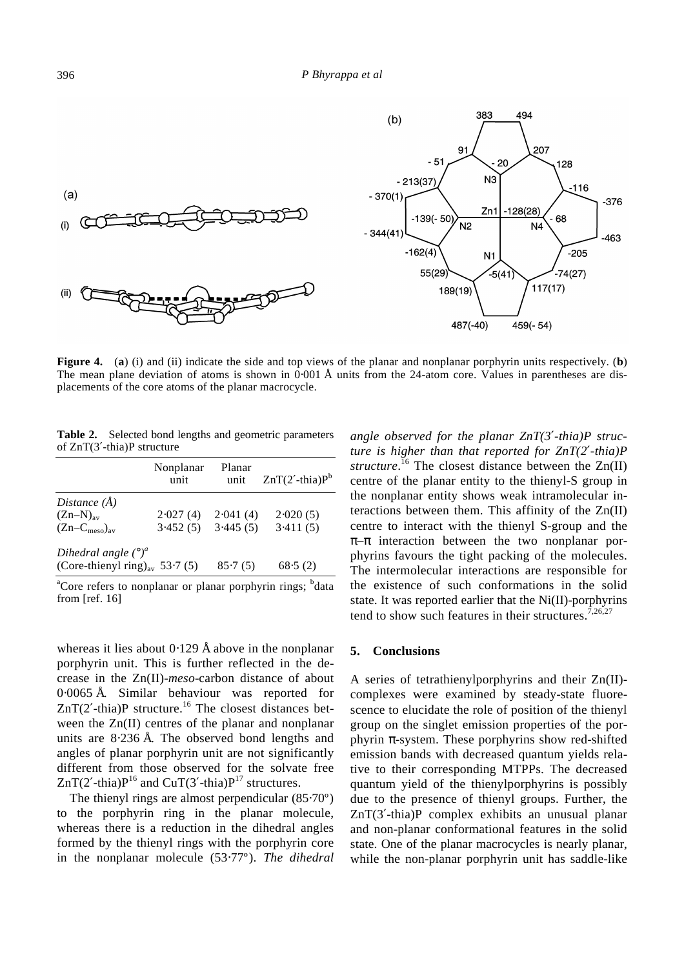

**Figure 4.** (**a**) (i) and (ii) indicate the side and top views of the planar and nonplanar porphyrin units respectively. (**b**) The mean plane deviation of atoms is shown in 0⋅001 Å units from the 24-atom core. Values in parentheses are displacements of the core atoms of the planar macrocycle.

**Table 2.** Selected bond lengths and geometric parameters of ZnT(3′-thia)P structure

|                                            | Nonplanar<br>unit | Planar<br>unit | $ZnT(2'-thia)Pb$ |
|--------------------------------------------|-------------------|----------------|------------------|
| Distance $(\AA)$                           |                   |                |                  |
| $(Zn-N)_{av}$                              | 2.027(4)          | 2.041(4)       | 2.020(5)         |
| $(Zn-Cmeso)av$                             | 3.452(5)          | 3.445(5)       | 3.411(5)         |
| Dihedral angle $(°)^a$                     |                   |                |                  |
| (Core-thienyl ring) <sub>av</sub> 53.7 (5) |                   | 85.7(5)        | 68.5(2)          |
|                                            |                   |                | ъ                |

<sup>a</sup>Core refers to nonplanar or planar porphyrin rings; <sup>b</sup>data from [ref. 16]

whereas it lies about  $0.129$  Å above in the nonplanar porphyrin unit. This is further reflected in the decrease in the Zn(II)-*meso*-carbon distance of about 0⋅0065 Å. Similar behaviour was reported for  $ZnT(2'-thia)P$  structure.<sup>16</sup> The closest distances between the Zn(II) centres of the planar and nonplanar units are 8⋅236 Å. The observed bond lengths and angles of planar porphyrin unit are not significantly different from those observed for the solvate free  $ZnT(2'-thia)P^{16}$  and CuT(3'-thia) $P^{17}$  structures.

The thienyl rings are almost perpendicular (85⋅70º) to the porphyrin ring in the planar molecule, whereas there is a reduction in the dihedral angles formed by the thienyl rings with the porphyrin core in the nonplanar molecule (53⋅77º). *The dihedral* 

*angle observed for the planar ZnT(3¢-thia)P structure is higher than that reported for ZnT(2¢-thia)P structure*. <sup>16</sup> The closest distance between the Zn(II) centre of the planar entity to the thienyl-S group in the nonplanar entity shows weak intramolecular interactions between them. This affinity of the Zn(II) centre to interact with the thienyl S-group and the *p–p* interaction between the two nonplanar porphyrins favours the tight packing of the molecules. The intermolecular interactions are responsible for the existence of such conformations in the solid state. It was reported earlier that the Ni(II)-porphyrins tend to show such features in their structures.<sup>7,26,27</sup>

#### **5. Conclusions**

A series of tetrathienylporphyrins and their Zn(II) complexes were examined by steady-state fluorescence to elucidate the role of position of the thienyl group on the singlet emission properties of the porphyrin *p*-system. These porphyrins show red-shifted emission bands with decreased quantum yields relative to their corresponding MTPPs. The decreased quantum yield of the thienylporphyrins is possibly due to the presence of thienyl groups. Further, the ZnT(3′-thia)P complex exhibits an unusual planar and non-planar conformational features in the solid state. One of the planar macrocycles is nearly planar, while the non-planar porphyrin unit has saddle-like